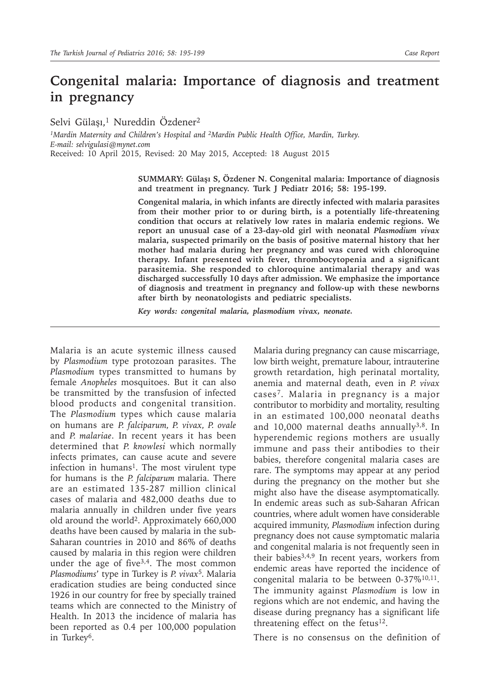# **Congenital malaria: Importance of diagnosis and treatment in pregnancy**

Selvi Gülaşı,<sup>1</sup> Nureddin Özdener<sup>2</sup>

*1Mardin Maternity and Children's Hospital and 2Mardin Public Health Office, Mardin, Turkey. E-mail: selvigulasi@mynet.com* Received: 10 April 2015, Revised: 20 May 2015, Accepted: 18 August 2015

> **SUMMARY: Gülaşı S, Özdener N. Congenital malaria: Importance of diagnosis and treatment in pregnancy. Turk J Pediatr 2016; 58: 195-199.**

> **Congenital malaria, in which infants are directly infected with malaria parasites from their mother prior to or during birth, is a potentially life-threatening condition that occurs at relatively low rates in malaria endemic regions. We report an unusual case of a 23-day-old girl with neonatal** *Plasmodium vivax*  **malaria, suspected primarily on the basis of positive maternal history that her mother had malaria during her pregnancy and was cured with chloroquine therapy. Infant presented with fever, thrombocytopenia and a significant parasitemia. She responded to chloroquine antimalarial therapy and was discharged successfully 10 days after admission. We emphasize the importance of diagnosis and treatment in pregnancy and follow-up with these newborns after birth by neonatologists and pediatric specialists.**

*Key words: congenital malaria, plasmodium vivax, neonate.*

Malaria is an acute systemic illness caused by *Plasmodium* type protozoan parasites. The *Plasmodium* types transmitted to humans by female *Anopheles* mosquitoes. But it can also be transmitted by the transfusion of infected blood products and congenital transition. The *Plasmodium* types which cause malaria on humans are *P. falciparum, P. vivax, P. ovale* and *P. malariae*. In recent years it has been determined that *P. knowlesi* which normally infects primates, can cause acute and severe infection in humans<sup>1</sup>. The most virulent type for humans is the *P. falciparum* malaria. There are an estimated 135-287 million clinical cases of malaria and 482,000 deaths due to malaria annually in children under five years old around the world<sup>2</sup>. Approximately 660,000 deaths have been caused by malaria in the sub-Saharan countries in 2010 and 86% of deaths caused by malaria in this region were children under the age of five<sup>3,4</sup>. The most common *Plasmodiums*' type in Turkey is *P. vivax*<sup>5</sup>*.* Malaria eradication studies are being conducted since 1926 in our country for free by specially trained teams which are connected to the Ministry of Health. In 2013 the incidence of malaria has been reported as 0.4 per 100,000 population in Turkey<sup>6</sup>.

Malaria during pregnancy can cause miscarriage, low birth weight, premature labour, intrauterine growth retardation, high perinatal mortality, anemia and maternal death, even in *P. vivax* cases<sup>7</sup>. Malaria in pregnancy is a major contributor to morbidity and mortality, resulting in an estimated 100,000 neonatal deaths and 10,000 maternal deaths annually $3,8$ . In hyperendemic regions mothers are usually immune and pass their antibodies to their babies, therefore congenital malaria cases are rare. The symptoms may appear at any period during the pregnancy on the mother but she might also have the disease asymptomatically. In endemic areas such as sub-Saharan African countries, where adult women have considerable acquired immunity, *Plasmodium* infection during pregnancy does not cause symptomatic malaria and congenital malaria is not frequently seen in their babies<sup>3,4,9</sup> In recent years, workers from endemic areas have reported the incidence of congenital malaria to be between 0-37%10,11. The immunity against *Plasmodium* is low in regions which are not endemic, and having the disease during pregnancy has a significant life threatening effect on the fetus $12$ .

There is no consensus on the definition of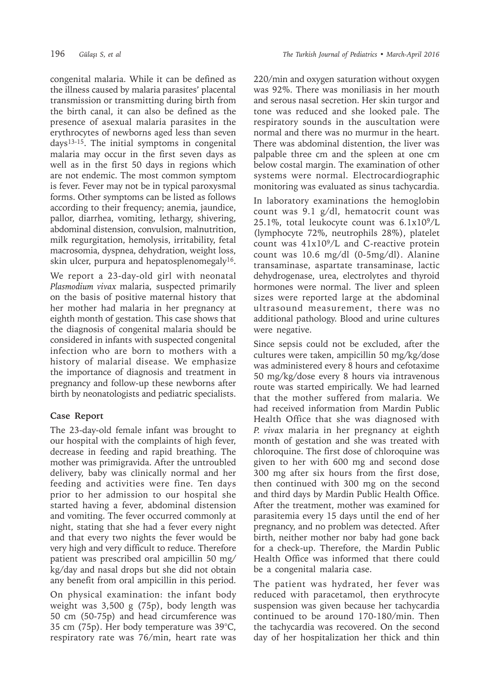congenital malaria. While it can be defined as the illness caused by malaria parasites' placental transmission or transmitting during birth from the birth canal, it can also be defined as the presence of asexual malaria parasites in the erythrocytes of newborns aged less than seven  $days<sup>13-15</sup>$ . The initial symptoms in congenital malaria may occur in the first seven days as well as in the first 50 days in regions which are not endemic. The most common symptom is fever. Fever may not be in typical paroxysmal forms. Other symptoms can be listed as follows according to their frequency; anemia, jaundice, pallor, diarrhea, vomiting, lethargy, shivering, abdominal distension, convulsion, malnutrition, milk regurgitation, hemolysis, irritability, fetal macrosomia, dyspnea, dehydration, weight loss, skin ulcer, purpura and hepatosplenomegaly<sup>16</sup>.

We report a 23-day-old girl with neonatal *Plasmodium vivax* malaria, suspected primarily on the basis of positive maternal history that her mother had malaria in her pregnancy at eighth month of gestation. This case shows that the diagnosis of congenital malaria should be considered in infants with suspected congenital infection who are born to mothers with a history of malarial disease. We emphasize the importance of diagnosis and treatment in pregnancy and follow-up these newborns after birth by neonatologists and pediatric specialists.

# **Case Report**

The 23-day-old female infant was brought to our hospital with the complaints of high fever, decrease in feeding and rapid breathing. The mother was primigravida. After the untroubled delivery, baby was clinically normal and her feeding and activities were fine. Ten days prior to her admission to our hospital she started having a fever, abdominal distension and vomiting. The fever occurred commonly at night, stating that she had a fever every night and that every two nights the fever would be very high and very difficult to reduce. Therefore patient was prescribed oral ampicillin 50 mg/ kg/day and nasal drops but she did not obtain any benefit from oral ampicillin in this period.

On physical examination: the infant body weight was 3,500 g (75p), body length was 50 cm (50-75p) and head circumference was 35 cm (75p). Her body temperature was 39°C, respiratory rate was 76/min, heart rate was

220/min and oxygen saturation without oxygen was 92%. There was moniliasis in her mouth and serous nasal secretion. Her skin turgor and tone was reduced and she looked pale. The respiratory sounds in the auscultation were normal and there was no murmur in the heart. There was abdominal distention, the liver was palpable three cm and the spleen at one cm below costal margin. The examination of other systems were normal. Electrocardiographic monitoring was evaluated as sinus tachycardia.

In laboratory examinations the hemoglobin count was 9.1 g/dl, hematocrit count was 25.1%, total leukocyte count was  $6.1x10<sup>9</sup>/L$ (lymphocyte 72%, neutrophils 28%), platelet count was  $41x10<sup>9</sup>/L$  and C-reactive protein count was 10.6 mg/dl (0-5mg/dl). Alanine transaminase, aspartate transaminase, lactic dehydrogenase, urea, electrolytes and thyroid hormones were normal. The liver and spleen sizes were reported large at the abdominal ultrasound measurement, there was no additional pathology. Blood and urine cultures were negative.

Since sepsis could not be excluded, after the cultures were taken, ampicillin 50 mg/kg/dose was administered every 8 hours and cefotaxime 50 mg/kg/dose every 8 hours via intravenous route was started empirically. We had learned that the mother suffered from malaria. We had received information from Mardin Public Health Office that she was diagnosed with *P. vivax* malaria in her pregnancy at eighth month of gestation and she was treated with chloroquine. The first dose of chloroquine was given to her with 600 mg and second dose 300 mg after six hours from the first dose, then continued with 300 mg on the second and third days by Mardin Public Health Office. After the treatment, mother was examined for parasitemia every 15 days until the end of her pregnancy, and no problem was detected. After birth, neither mother nor baby had gone back for a check-up. Therefore, the Mardin Public Health Office was informed that there could be a congenital malaria case.

The patient was hydrated, her fever was reduced with paracetamol, then erythrocyte suspension was given because her tachycardia continued to be around 170-180/min. Then the tachycardia was recovered. On the second day of her hospitalization her thick and thin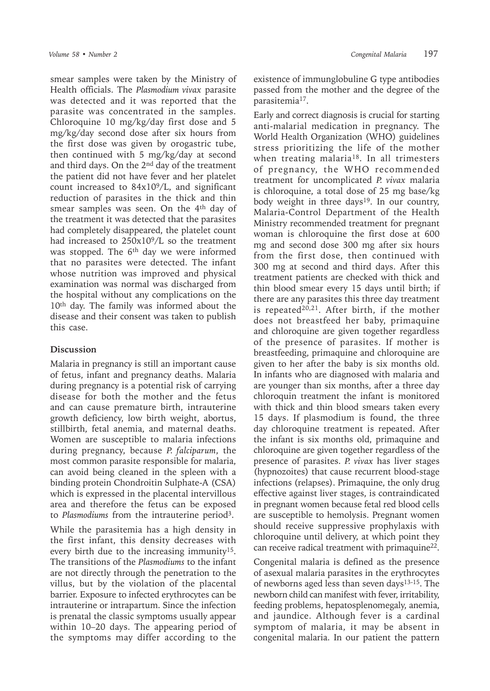smear samples were taken by the Ministry of Health officials. The *Plasmodium vivax* parasite was detected and it was reported that the parasite was concentrated in the samples. Chloroquine 10 mg/kg/day first dose and 5 mg/kg/day second dose after six hours from the first dose was given by orogastric tube, then continued with 5 mg/kg/day at second and third days. On the  $2<sup>nd</sup>$  day of the treatment the patient did not have fever and her platelet count increased to  $84x10^9/L$ , and significant reduction of parasites in the thick and thin smear samples was seen. On the 4<sup>th</sup> day of the treatment it was detected that the parasites had completely disappeared, the platelet count had increased to  $250x10<sup>9</sup>/L$  so the treatment was stopped. The  $6<sup>th</sup>$  day we were informed that no parasites were detected. The infant whose nutrition was improved and physical examination was normal was discharged from the hospital without any complications on the 10th day. The family was informed about the disease and their consent was taken to publish this case.

### **Discussion**

Malaria in pregnancy is still an important cause of fetus, infant and pregnancy deaths. Malaria during pregnancy is a potential risk of carrying disease for both the mother and the fetus and can cause premature birth, intrauterine growth deficiency, low birth weight, abortus, stillbirth, fetal anemia, and maternal deaths. Women are susceptible to malaria infections during pregnancy, because *P. falciparum*, the most common parasite responsible for malaria, can avoid being cleaned in the spleen with a binding protein Chondroitin Sulphate-A (CSA) which is expressed in the placental intervillous area and therefore the fetus can be exposed to *Plasmodiums* from the intrauterine period<sup>3</sup>.

While the parasitemia has a high density in the first infant, this density decreases with every birth due to the increasing immunity<sup>15</sup>. The transitions of the *Plasmodiums* to the infant are not directly through the penetration to the villus, but by the violation of the placental barrier. Exposure to infected erythrocytes can be intrauterine or intrapartum. Since the infection is prenatal the classic symptoms usually appear within 10–20 days. The appearing period of the symptoms may differ according to the

existence of immunglobuline G type antibodies passed from the mother and the degree of the parasitemia<sup>17</sup>.

Early and correct diagnosis is crucial for starting anti-malarial medication in pregnancy. The World Health Organization (WHO) guidelines stress prioritizing the life of the mother when treating malaria<sup>18</sup>. In all trimesters of pregnancy, the WHO recommended treatment for uncomplicated *P. vivax* malaria is chloroquine, a total dose of 25 mg base/kg body weight in three days<sup>19</sup>. In our country, Malaria-Control Department of the Health Ministry recommended treatment for pregnant woman is chloroquine the first dose at 600 mg and second dose 300 mg after six hours from the first dose, then continued with 300 mg at second and third days. After this treatment patients are checked with thick and thin blood smear every 15 days until birth; if there are any parasites this three day treatment is repeated<sup>20,21</sup>. After birth, if the mother does not breastfeed her baby, primaquine and chloroquine are given together regardless of the presence of parasites. If mother is breastfeeding, primaquine and chloroquine are given to her after the baby is six months old. In infants who are diagnosed with malaria and are younger than six months, after a three day chloroquin treatment the infant is monitored with thick and thin blood smears taken every 15 days. If plasmodium is found, the three day chloroquine treatment is repeated. After the infant is six months old, primaquine and chloroquine are given together regardless of the presence of parasites. *P. vivax* has liver stages (hypnozoites) that cause recurrent blood-stage infections (relapses). Primaquine, the only drug effective against liver stages, is contraindicated in pregnant women because fetal red blood cells are susceptible to hemolysis. Pregnant women should receive suppressive prophylaxis with chloroquine until delivery, at which point they can receive radical treatment with primaquine<sup>22</sup>.

Congenital malaria is defined as the presence of asexual malaria parasites in the erythrocytes of newborns aged less than seven days13-15. The newborn child can manifest with fever, irritability, feeding problems, hepatosplenomegaly, anemia, and jaundice. Although fever is a cardinal symptom of malaria, it may be absent in congenital malaria. In our patient the pattern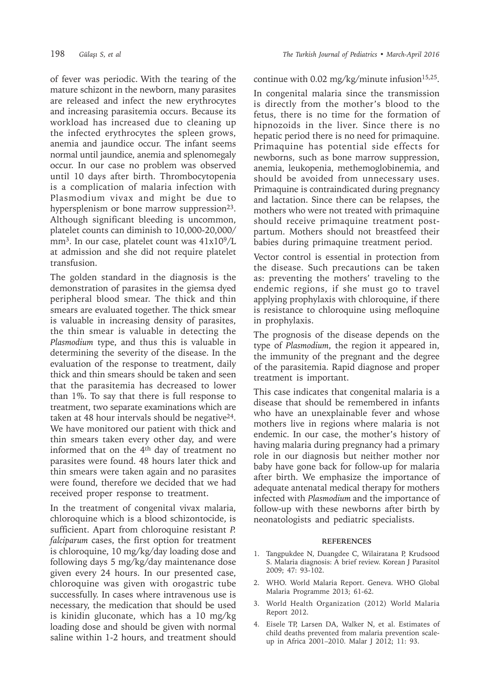of fever was periodic. With the tearing of the mature schizont in the newborn, many parasites are released and infect the new erythrocytes and increasing parasitemia occurs. Because its workload has increased due to cleaning up the infected erythrocytes the spleen grows, anemia and jaundice occur. The infant seems normal until jaundice, anemia and splenomegaly occur. In our case no problem was observed until 10 days after birth. Thrombocytopenia is a complication of malaria infection with Plasmodium vivax and might be due to hypersplenism or bone marrow suppression<sup>23</sup>. Although significant bleeding is uncommon, platelet counts can diminish to 10,000-20,000/ mm<sup>3</sup>. In our case, platelet count was  $41x10^9/L$ at admission and she did not require platelet transfusion.

The golden standard in the diagnosis is the demonstration of parasites in the giemsa dyed peripheral blood smear. The thick and thin smears are evaluated together. The thick smear is valuable in increasing density of parasites, the thin smear is valuable in detecting the *Plasmodium* type, and thus this is valuable in determining the severity of the disease. In the evaluation of the response to treatment, daily thick and thin smears should be taken and seen that the parasitemia has decreased to lower than 1%. To say that there is full response to treatment, two separate examinations which are taken at 48 hour intervals should be negative<sup>24</sup>. We have monitored our patient with thick and thin smears taken every other day, and were informed that on the  $4<sup>th</sup>$  day of treatment no parasites were found. 48 hours later thick and thin smears were taken again and no parasites were found, therefore we decided that we had received proper response to treatment.

In the treatment of congenital vivax malaria, chloroquine which is a blood schizontocide, is sufficient. Apart from chloroquine resistant *P. falciparum* cases, the first option for treatment is chloroquine, 10 mg/kg/day loading dose and following days 5 mg/kg/day maintenance dose given every 24 hours. In our presented case, chloroquine was given with orogastric tube successfully. In cases where intravenous use is necessary, the medication that should be used is kinidin gluconate, which has a 10 mg/kg loading dose and should be given with normal saline within 1-2 hours, and treatment should

## continue with 0.02 mg/kg/minute infusion<sup>15,25</sup>.

In congenital malaria since the transmission is directly from the mother's blood to the fetus, there is no time for the formation of hipnozoids in the liver. Since there is no hepatic period there is no need for primaquine. Primaquine has potential side effects for newborns, such as bone marrow suppression, anemia, leukopenia, methemoglobinemia, and should be avoided from unnecessary uses. Primaquine is contraindicated during pregnancy and lactation. Since there can be relapses, the mothers who were not treated with primaquine should receive primaquine treatment postpartum. Mothers should not breastfeed their babies during primaquine treatment period.

Vector control is essential in protection from the disease. Such precautions can be taken as: preventing the mothers' traveling to the endemic regions, if she must go to travel applying prophylaxis with chloroquine, if there is resistance to chloroquine using mefloquine in prophylaxis.

The prognosis of the disease depends on the type of *Plasmodium*, the region it appeared in, the immunity of the pregnant and the degree of the parasitemia. Rapid diagnose and proper treatment is important.

This case indicates that congenital malaria is a disease that should be remembered in infants who have an unexplainable fever and whose mothers live in regions where malaria is not endemic. In our case, the mother's history of having malaria during pregnancy had a primary role in our diagnosis but neither mother nor baby have gone back for follow-up for malaria after birth. We emphasize the importance of adequate antenatal medical therapy for mothers infected with *Plasmodium* and the importance of follow-up with these newborns after birth by neonatologists and pediatric specialists.

#### **REFERENCES**

- 1. Tangpukdee N, Duangdee C, Wilairatana P, Krudsood S. Malaria diagnosis: A brief review. Korean J Parasitol 2009; 47: 93-102.
- 2. WHO. World Malaria Report. Geneva. WHO Global Malaria Programme 2013; 61-62.
- 3. World Health Organization (2012) World Malaria Report 2012.
- 4. Eisele TP, Larsen DA, Walker N, et al. Estimates of child deaths prevented from malaria prevention scaleup in Africa 2001–2010. Malar J 2012; 11: 93.